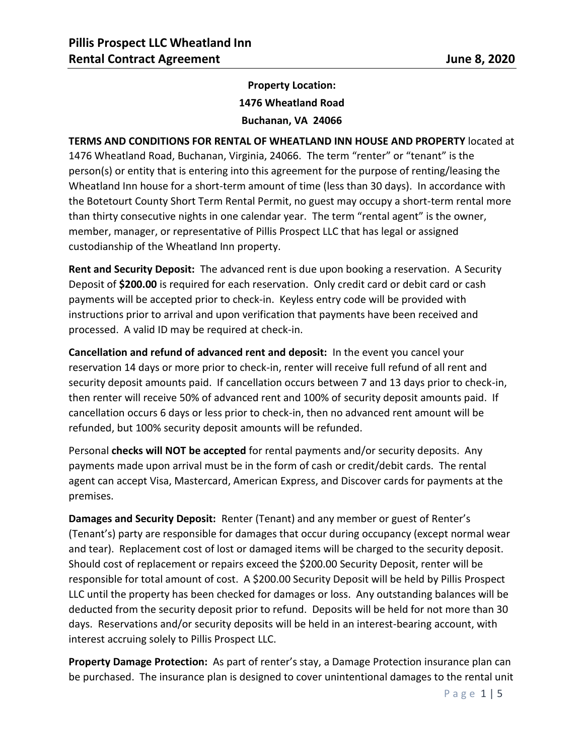## **Property Location: 1476 Wheatland Road Buchanan, VA 24066**

**TERMS AND CONDITIONS FOR RENTAL OF WHEATLAND INN HOUSE AND PROPERTY** located at 1476 Wheatland Road, Buchanan, Virginia, 24066. The term "renter" or "tenant" is the person(s) or entity that is entering into this agreement for the purpose of renting/leasing the Wheatland Inn house for a short-term amount of time (less than 30 days). In accordance with the Botetourt County Short Term Rental Permit, no guest may occupy a short-term rental more than thirty consecutive nights in one calendar year. The term "rental agent" is the owner, member, manager, or representative of Pillis Prospect LLC that has legal or assigned custodianship of the Wheatland Inn property.

**Rent and Security Deposit:** The advanced rent is due upon booking a reservation. A Security Deposit of **\$200.00** is required for each reservation. Only credit card or debit card or cash payments will be accepted prior to check-in. Keyless entry code will be provided with instructions prior to arrival and upon verification that payments have been received and processed. A valid ID may be required at check-in.

**Cancellation and refund of advanced rent and deposit:** In the event you cancel your reservation 14 days or more prior to check-in, renter will receive full refund of all rent and security deposit amounts paid. If cancellation occurs between 7 and 13 days prior to check-in, then renter will receive 50% of advanced rent and 100% of security deposit amounts paid. If cancellation occurs 6 days or less prior to check-in, then no advanced rent amount will be refunded, but 100% security deposit amounts will be refunded.

Personal **checks will NOT be accepted** for rental payments and/or security deposits. Any payments made upon arrival must be in the form of cash or credit/debit cards. The rental agent can accept Visa, Mastercard, American Express, and Discover cards for payments at the premises.

**Damages and Security Deposit:** Renter (Tenant) and any member or guest of Renter's (Tenant's) party are responsible for damages that occur during occupancy (except normal wear and tear). Replacement cost of lost or damaged items will be charged to the security deposit. Should cost of replacement or repairs exceed the \$200.00 Security Deposit, renter will be responsible for total amount of cost. A \$200.00 Security Deposit will be held by Pillis Prospect LLC until the property has been checked for damages or loss. Any outstanding balances will be deducted from the security deposit prior to refund. Deposits will be held for not more than 30 days. Reservations and/or security deposits will be held in an interest-bearing account, with interest accruing solely to Pillis Prospect LLC.

**Property Damage Protection:** As part of renter's stay, a Damage Protection insurance plan can be purchased. The insurance plan is designed to cover unintentional damages to the rental unit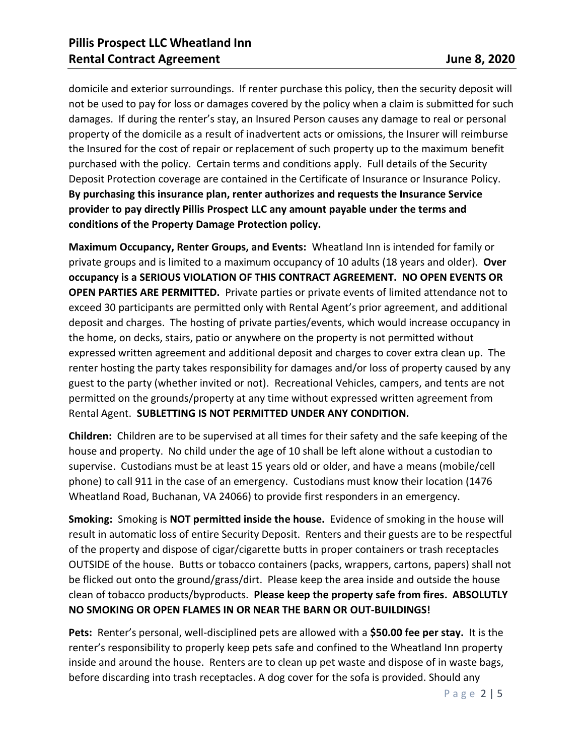domicile and exterior surroundings. If renter purchase this policy, then the security deposit will not be used to pay for loss or damages covered by the policy when a claim is submitted for such damages. If during the renter's stay, an Insured Person causes any damage to real or personal property of the domicile as a result of inadvertent acts or omissions, the Insurer will reimburse the Insured for the cost of repair or replacement of such property up to the maximum benefit purchased with the policy. Certain terms and conditions apply. Full details of the Security Deposit Protection coverage are contained in the Certificate of Insurance or Insurance Policy. **By purchasing this insurance plan, renter authorizes and requests the Insurance Service provider to pay directly Pillis Prospect LLC any amount payable under the terms and conditions of the Property Damage Protection policy.**

**Maximum Occupancy, Renter Groups, and Events:** Wheatland Inn is intended for family or private groups and is limited to a maximum occupancy of 10 adults (18 years and older). **Over occupancy is a SERIOUS VIOLATION OF THIS CONTRACT AGREEMENT. NO OPEN EVENTS OR OPEN PARTIES ARE PERMITTED.** Private parties or private events of limited attendance not to exceed 30 participants are permitted only with Rental Agent's prior agreement, and additional deposit and charges. The hosting of private parties/events, which would increase occupancy in the home, on decks, stairs, patio or anywhere on the property is not permitted without expressed written agreement and additional deposit and charges to cover extra clean up. The renter hosting the party takes responsibility for damages and/or loss of property caused by any guest to the party (whether invited or not). Recreational Vehicles, campers, and tents are not permitted on the grounds/property at any time without expressed written agreement from Rental Agent. **SUBLETTING IS NOT PERMITTED UNDER ANY CONDITION.**

**Children:** Children are to be supervised at all times for their safety and the safe keeping of the house and property. No child under the age of 10 shall be left alone without a custodian to supervise. Custodians must be at least 15 years old or older, and have a means (mobile/cell phone) to call 911 in the case of an emergency. Custodians must know their location (1476 Wheatland Road, Buchanan, VA 24066) to provide first responders in an emergency.

**Smoking:** Smoking is **NOT permitted inside the house.** Evidence of smoking in the house will result in automatic loss of entire Security Deposit. Renters and their guests are to be respectful of the property and dispose of cigar/cigarette butts in proper containers or trash receptacles OUTSIDE of the house. Butts or tobacco containers (packs, wrappers, cartons, papers) shall not be flicked out onto the ground/grass/dirt. Please keep the area inside and outside the house clean of tobacco products/byproducts. **Please keep the property safe from fires. ABSOLUTLY NO SMOKING OR OPEN FLAMES IN OR NEAR THE BARN OR OUT-BUILDINGS!**

**Pets:** Renter's personal, well-disciplined pets are allowed with a **\$50.00 fee per stay.** It is the renter's responsibility to properly keep pets safe and confined to the Wheatland Inn property inside and around the house. Renters are to clean up pet waste and dispose of in waste bags, before discarding into trash receptacles. A dog cover for the sofa is provided. Should any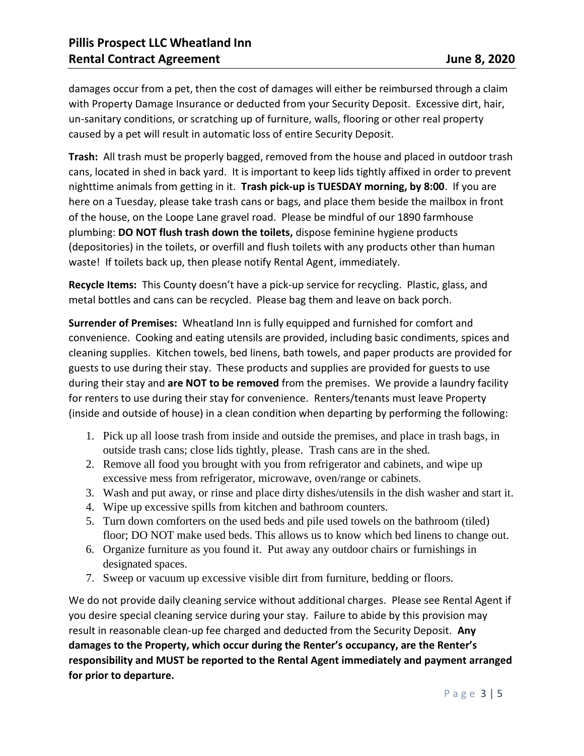damages occur from a pet, then the cost of damages will either be reimbursed through a claim with Property Damage Insurance or deducted from your Security Deposit. Excessive dirt, hair, un-sanitary conditions, or scratching up of furniture, walls, flooring or other real property caused by a pet will result in automatic loss of entire Security Deposit.

**Trash:** All trash must be properly bagged, removed from the house and placed in outdoor trash cans, located in shed in back yard. It is important to keep lids tightly affixed in order to prevent nighttime animals from getting in it. **Trash pick-up is TUESDAY morning, by 8:00**. If you are here on a Tuesday, please take trash cans or bags, and place them beside the mailbox in front of the house, on the Loope Lane gravel road. Please be mindful of our 1890 farmhouse plumbing: **DO NOT flush trash down the toilets,** dispose feminine hygiene products (depositories) in the toilets, or overfill and flush toilets with any products other than human waste! If toilets back up, then please notify Rental Agent, immediately.

**Recycle Items:** This County doesn't have a pick-up service for recycling. Plastic, glass, and metal bottles and cans can be recycled. Please bag them and leave on back porch.

**Surrender of Premises:** Wheatland Inn is fully equipped and furnished for comfort and convenience. Cooking and eating utensils are provided, including basic condiments, spices and cleaning supplies. Kitchen towels, bed linens, bath towels, and paper products are provided for guests to use during their stay. These products and supplies are provided for guests to use during their stay and **are NOT to be removed** from the premises. We provide a laundry facility for renters to use during their stay for convenience. Renters/tenants must leave Property (inside and outside of house) in a clean condition when departing by performing the following:

- 1. Pick up all loose trash from inside and outside the premises, and place in trash bags, in outside trash cans; close lids tightly, please. Trash cans are in the shed.
- 2. Remove all food you brought with you from refrigerator and cabinets, and wipe up excessive mess from refrigerator, microwave, oven/range or cabinets.
- 3. Wash and put away, or rinse and place dirty dishes/utensils in the dish washer and start it.
- 4. Wipe up excessive spills from kitchen and bathroom counters.
- 5. Turn down comforters on the used beds and pile used towels on the bathroom (tiled) floor; DO NOT make used beds. This allows us to know which bed linens to change out.
- 6. Organize furniture as you found it. Put away any outdoor chairs or furnishings in designated spaces.
- 7. Sweep or vacuum up excessive visible dirt from furniture, bedding or floors.

We do not provide daily cleaning service without additional charges. Please see Rental Agent if you desire special cleaning service during your stay. Failure to abide by this provision may result in reasonable clean-up fee charged and deducted from the Security Deposit. **Any damages to the Property, which occur during the Renter's occupancy, are the Renter's responsibility and MUST be reported to the Rental Agent immediately and payment arranged for prior to departure.**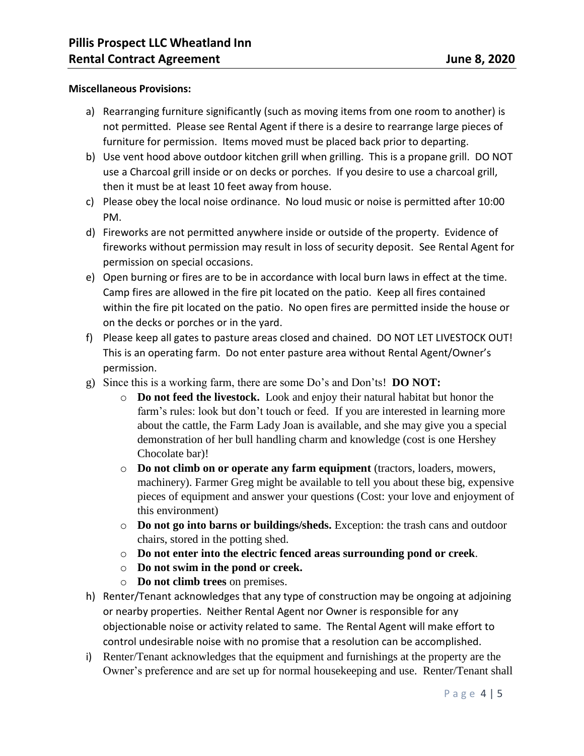## **Miscellaneous Provisions:**

- a) Rearranging furniture significantly (such as moving items from one room to another) is not permitted. Please see Rental Agent if there is a desire to rearrange large pieces of furniture for permission. Items moved must be placed back prior to departing.
- b) Use vent hood above outdoor kitchen grill when grilling. This is a propane grill. DO NOT use a Charcoal grill inside or on decks or porches. If you desire to use a charcoal grill, then it must be at least 10 feet away from house.
- c) Please obey the local noise ordinance. No loud music or noise is permitted after 10:00 PM.
- d) Fireworks are not permitted anywhere inside or outside of the property. Evidence of fireworks without permission may result in loss of security deposit. See Rental Agent for permission on special occasions.
- e) Open burning or fires are to be in accordance with local burn laws in effect at the time. Camp fires are allowed in the fire pit located on the patio. Keep all fires contained within the fire pit located on the patio. No open fires are permitted inside the house or on the decks or porches or in the yard.
- f) Please keep all gates to pasture areas closed and chained. DO NOT LET LIVESTOCK OUT! This is an operating farm. Do not enter pasture area without Rental Agent/Owner's permission.
- g) Since this is a working farm, there are some Do's and Don'ts! **DO NOT:**
	- o **Do not feed the livestock.** Look and enjoy their natural habitat but honor the farm's rules: look but don't touch or feed. If you are interested in learning more about the cattle, the Farm Lady Joan is available, and she may give you a special demonstration of her bull handling charm and knowledge (cost is one Hershey Chocolate bar)!
	- o **Do not climb on or operate any farm equipment** (tractors, loaders, mowers, machinery). Farmer Greg might be available to tell you about these big, expensive pieces of equipment and answer your questions (Cost: your love and enjoyment of this environment)
	- o **Do not go into barns or buildings/sheds.** Exception: the trash cans and outdoor chairs, stored in the potting shed.
	- o **Do not enter into the electric fenced areas surrounding pond or creek**.
	- o **Do not swim in the pond or creek.**
	- o **Do not climb trees** on premises.
- h) Renter/Tenant acknowledges that any type of construction may be ongoing at adjoining or nearby properties. Neither Rental Agent nor Owner is responsible for any objectionable noise or activity related to same. The Rental Agent will make effort to control undesirable noise with no promise that a resolution can be accomplished.
- i) Renter/Tenant acknowledges that the equipment and furnishings at the property are the Owner's preference and are set up for normal housekeeping and use. Renter/Tenant shall